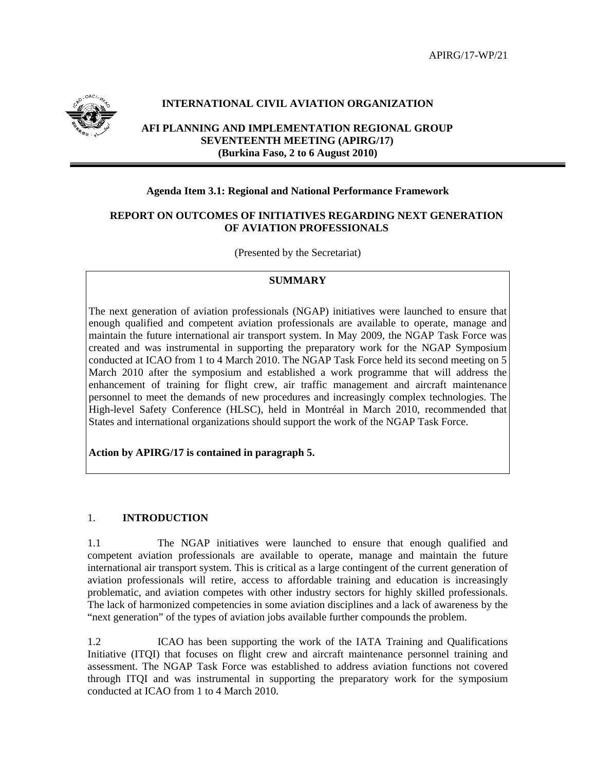

# **INTERNATIONAL CIVIL AVIATION ORGANIZATION**

**AFI PLANNING AND IMPLEMENTATION REGIONAL GROUP SEVENTEENTH MEETING (APIRG/17) (Burkina Faso, 2 to 6 August 2010)** 

#### **Agenda Item 3.1: Regional and National Performance Framework**

### **REPORT ON OUTCOMES OF INITIATIVES REGARDING NEXT GENERATION OF AVIATION PROFESSIONALS**

(Presented by the Secretariat)

#### **SUMMARY**

The next generation of aviation professionals (NGAP) initiatives were launched to ensure that enough qualified and competent aviation professionals are available to operate, manage and maintain the future international air transport system. In May 2009, the NGAP Task Force was created and was instrumental in supporting the preparatory work for the NGAP Symposium conducted at ICAO from 1 to 4 March 2010. The NGAP Task Force held its second meeting on 5 March 2010 after the symposium and established a work programme that will address the enhancement of training for flight crew, air traffic management and aircraft maintenance personnel to meet the demands of new procedures and increasingly complex technologies. The High-level Safety Conference (HLSC), held in Montréal in March 2010, recommended that States and international organizations should support the work of the NGAP Task Force.

**Action by APIRG/17 is contained in paragraph 5.** 

#### 1. **INTRODUCTION**

1.1 The NGAP initiatives were launched to ensure that enough qualified and competent aviation professionals are available to operate, manage and maintain the future international air transport system. This is critical as a large contingent of the current generation of aviation professionals will retire, access to affordable training and education is increasingly problematic, and aviation competes with other industry sectors for highly skilled professionals. The lack of harmonized competencies in some aviation disciplines and a lack of awareness by the "next generation" of the types of aviation jobs available further compounds the problem.

1.2 ICAO has been supporting the work of the IATA Training and Qualifications Initiative (ITQI) that focuses on flight crew and aircraft maintenance personnel training and assessment. The NGAP Task Force was established to address aviation functions not covered through ITQI and was instrumental in supporting the preparatory work for the symposium conducted at ICAO from 1 to 4 March 2010.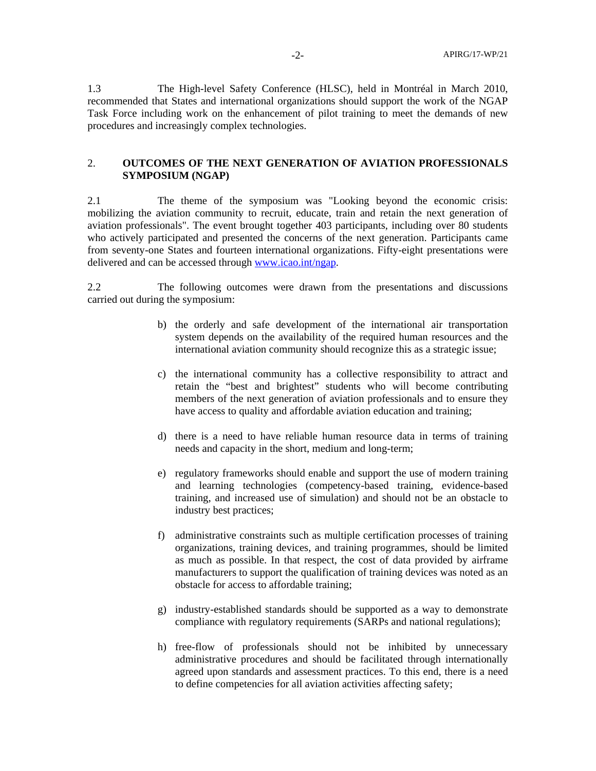1.3 The High-level Safety Conference (HLSC), held in Montréal in March 2010, recommended that States and international organizations should support the work of the NGAP Task Force including work on the enhancement of pilot training to meet the demands of new procedures and increasingly complex technologies.

# 2. **OUTCOMES OF THE NEXT GENERATION OF AVIATION PROFESSIONALS SYMPOSIUM (NGAP)**

2.1 The theme of the symposium was "Looking beyond the economic crisis: mobilizing the aviation community to recruit, educate, train and retain the next generation of aviation professionals". The event brought together 403 participants, including over 80 students who actively participated and presented the concerns of the next generation. Participants came from seventy-one States and fourteen international organizations. Fifty-eight presentations were delivered and can be accessed through www.icao.int/ngap.

2.2 The following outcomes were drawn from the presentations and discussions carried out during the symposium:

- b) the orderly and safe development of the international air transportation system depends on the availability of the required human resources and the international aviation community should recognize this as a strategic issue;
- c) the international community has a collective responsibility to attract and retain the "best and brightest" students who will become contributing members of the next generation of aviation professionals and to ensure they have access to quality and affordable aviation education and training;
- d) there is a need to have reliable human resource data in terms of training needs and capacity in the short, medium and long-term;
- e) regulatory frameworks should enable and support the use of modern training and learning technologies (competency-based training, evidence-based training, and increased use of simulation) and should not be an obstacle to industry best practices;
- f) administrative constraints such as multiple certification processes of training organizations, training devices, and training programmes, should be limited as much as possible. In that respect, the cost of data provided by airframe manufacturers to support the qualification of training devices was noted as an obstacle for access to affordable training;
- g) industry-established standards should be supported as a way to demonstrate compliance with regulatory requirements (SARPs and national regulations);
- h) free-flow of professionals should not be inhibited by unnecessary administrative procedures and should be facilitated through internationally agreed upon standards and assessment practices. To this end, there is a need to define competencies for all aviation activities affecting safety;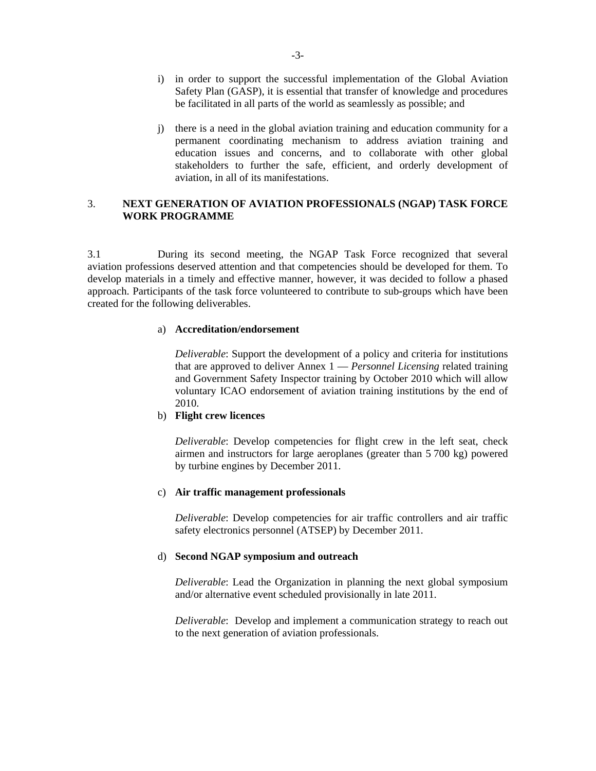- i) in order to support the successful implementation of the Global Aviation Safety Plan (GASP), it is essential that transfer of knowledge and procedures be facilitated in all parts of the world as seamlessly as possible; and
- j) there is a need in the global aviation training and education community for a permanent coordinating mechanism to address aviation training and education issues and concerns, and to collaborate with other global stakeholders to further the safe, efficient, and orderly development of aviation, in all of its manifestations.

# 3. **NEXT GENERATION OF AVIATION PROFESSIONALS (NGAP) TASK FORCE WORK PROGRAMME**

3.1 During its second meeting, the NGAP Task Force recognized that several aviation professions deserved attention and that competencies should be developed for them. To develop materials in a timely and effective manner, however, it was decided to follow a phased approach. Participants of the task force volunteered to contribute to sub-groups which have been created for the following deliverables.

#### a) **Accreditation/endorsement**

*Deliverable*: Support the development of a policy and criteria for institutions that are approved to deliver Annex 1 — *Personnel Licensing* related training and Government Safety Inspector training by October 2010 which will allow voluntary ICAO endorsement of aviation training institutions by the end of 2010.

### b) **Flight crew licences**

*Deliverable*: Develop competencies for flight crew in the left seat, check airmen and instructors for large aeroplanes (greater than 5 700 kg) powered by turbine engines by December 2011.

### c) **Air traffic management professionals**

*Deliverable*: Develop competencies for air traffic controllers and air traffic safety electronics personnel (ATSEP) by December 2011.

### d) **Second NGAP symposium and outreach**

*Deliverable*: Lead the Organization in planning the next global symposium and/or alternative event scheduled provisionally in late 2011.

*Deliverable*: Develop and implement a communication strategy to reach out to the next generation of aviation professionals.